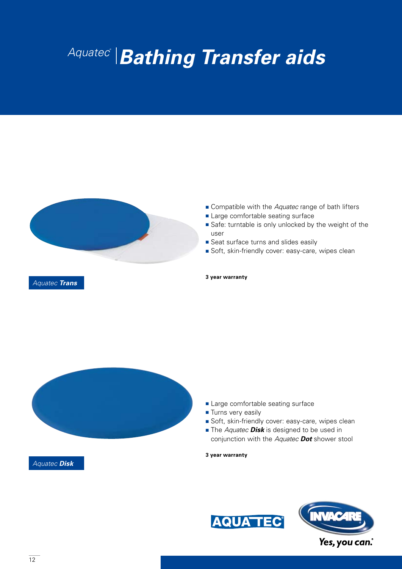# *Aquatec® Bathing Transfer aids*



- Compatible with the *Aquatec* range of bath lifters
- Large comfortable seating surface
- Safe: turntable is only unlocked by the weight of the user
- Seat surface turns and slides easily
- Soft, skin-friendly cover: easy-care, wipes clean

*Aquatec Disk*

#### **3 year warranty**

- Large comfortable seating surface
- Turns very easily
- Soft, skin-friendly cover: easy-care, wipes clean
- The *Aquatec* **Disk** is designed to be used in conjunction with the *Aquatec Dot* shower stool

**3 year warranty**